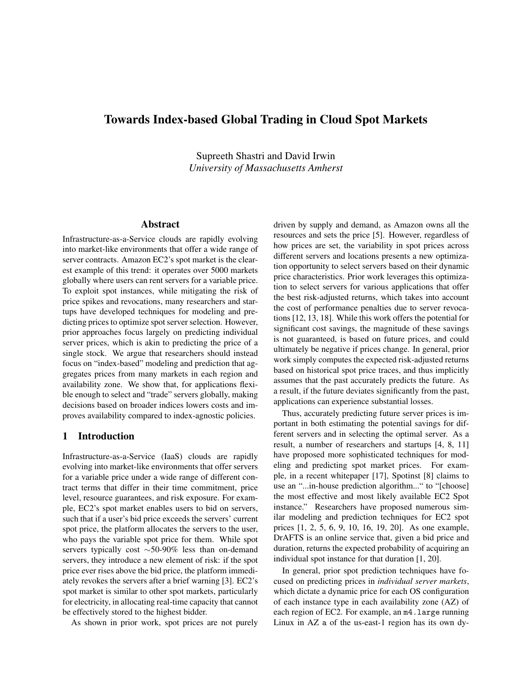# Towards Index-based Global Trading in Cloud Spot Markets

Supreeth Shastri and David Irwin *University of Massachusetts Amherst*

# Abstract

Infrastructure-as-a-Service clouds are rapidly evolving into market-like environments that offer a wide range of server contracts. Amazon EC2's spot market is the clearest example of this trend: it operates over 5000 markets globally where users can rent servers for a variable price. To exploit spot instances, while mitigating the risk of price spikes and revocations, many researchers and startups have developed techniques for modeling and predicting prices to optimize spot server selection. However, prior approaches focus largely on predicting individual server prices, which is akin to predicting the price of a single stock. We argue that researchers should instead focus on "index-based" modeling and prediction that aggregates prices from many markets in each region and availability zone. We show that, for applications flexible enough to select and "trade" servers globally, making decisions based on broader indices lowers costs and improves availability compared to index-agnostic policies.

### 1 Introduction

Infrastructure-as-a-Service (IaaS) clouds are rapidly evolving into market-like environments that offer servers for a variable price under a wide range of different contract terms that differ in their time commitment, price level, resource guarantees, and risk exposure. For example, EC2's spot market enables users to bid on servers, such that if a user's bid price exceeds the servers' current spot price, the platform allocates the servers to the user, who pays the variable spot price for them. While spot servers typically cost  $\sim$  50-90% less than on-demand servers, they introduce a new element of risk: if the spot price ever rises above the bid price, the platform immediately revokes the servers after a brief warning [3]. EC2's spot market is similar to other spot markets, particularly for electricity, in allocating real-time capacity that cannot be effectively stored to the highest bidder.

As shown in prior work, spot prices are not purely

driven by supply and demand, as Amazon owns all the resources and sets the price [5]. However, regardless of how prices are set, the variability in spot prices across different servers and locations presents a new optimization opportunity to select servers based on their dynamic price characteristics. Prior work leverages this optimization to select servers for various applications that offer the best risk-adjusted returns, which takes into account the cost of performance penalties due to server revocations [12, 13, 18]. While this work offers the potential for significant cost savings, the magnitude of these savings is not guaranteed, is based on future prices, and could ultimately be negative if prices change. In general, prior work simply computes the expected risk-adjusted returns based on historical spot price traces, and thus implicitly assumes that the past accurately predicts the future. As a result, if the future deviates significantly from the past, applications can experience substantial losses.

Thus, accurately predicting future server prices is important in both estimating the potential savings for different servers and in selecting the optimal server. As a result, a number of researchers and startups [4, 8, 11] have proposed more sophisticated techniques for modeling and predicting spot market prices. For example, in a recent whitepaper [17], Spotinst [8] claims to use an "...in-house prediction algorithm..." to "[choose] the most effective and most likely available EC2 Spot instance." Researchers have proposed numerous similar modeling and prediction techniques for EC2 spot prices [1, 2, 5, 6, 9, 10, 16, 19, 20]. As one example, DrAFTS is an online service that, given a bid price and duration, returns the expected probability of acquiring an individual spot instance for that duration [1, 20].

In general, prior spot prediction techniques have focused on predicting prices in *individual server markets*, which dictate a dynamic price for each OS configuration of each instance type in each availability zone (AZ) of each region of EC2. For example, an m4.large running Linux in AZ a of the us-east-1 region has its own dy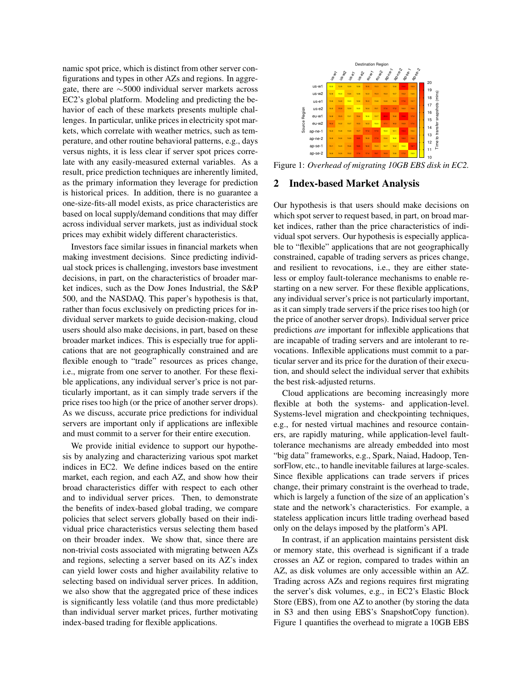namic spot price, which is distinct from other server configurations and types in other AZs and regions. In aggregate, there are  $\sim$ 5000 individual server markets across EC2's global platform. Modeling and predicting the behavior of each of these markets presents multiple challenges. In particular, unlike prices in electricity spot markets, which correlate with weather metrics, such as temperature, and other routine behavioral patterns, e.g., days versus nights, it is less clear if server spot prices correlate with any easily-measured external variables. As a result, price prediction techniques are inherently limited, as the primary information they leverage for prediction is historical prices. In addition, there is no guarantee a one-size-fits-all model exists, as price characteristics are based on local supply/demand conditions that may differ across individual server markets, just as individual stock prices may exhibit widely different characteristics.

Investors face similar issues in financial markets when making investment decisions. Since predicting individual stock prices is challenging, investors base investment decisions, in part, on the characteristics of broader market indices, such as the Dow Jones Industrial, the S&P 500, and the NASDAQ. This paper's hypothesis is that, rather than focus exclusively on predicting prices for individual server markets to guide decision-making, cloud users should also make decisions, in part, based on these broader market indices. This is especially true for applications that are not geographically constrained and are flexible enough to "trade" resources as prices change, i.e., migrate from one server to another. For these flexible applications, any individual server's price is not particularly important, as it can simply trade servers if the price rises too high (or the price of another server drops). As we discuss, accurate price predictions for individual servers are important only if applications are inflexible and must commit to a server for their entire execution.

We provide initial evidence to support our hypothesis by analyzing and characterizing various spot market indices in EC2. We define indices based on the entire market, each region, and each AZ, and show how their broad characteristics differ with respect to each other and to individual server prices. Then, to demonstrate the benefits of index-based global trading, we compare policies that select servers globally based on their individual price characteristics versus selecting them based on their broader index. We show that, since there are non-trivial costs associated with migrating between AZs and regions, selecting a server based on its AZ's index can yield lower costs and higher availability relative to selecting based on individual server prices. In addition, we also show that the aggregated price of these indices is significantly less volatile (and thus more predictable) than individual server market prices, further motivating index-based trading for flexible applications.



Figure 1: *Overhead of migrating 10GB EBS disk in EC2.*

#### 2 Index-based Market Analysis

Our hypothesis is that users should make decisions on which spot server to request based, in part, on broad market indices, rather than the price characteristics of individual spot servers. Our hypothesis is especially applicable to "flexible" applications that are not geographically constrained, capable of trading servers as prices change, and resilient to revocations, i.e., they are either stateless or employ fault-tolerance mechanisms to enable restarting on a new server. For these flexible applications, any individual server's price is not particularly important, as it can simply trade servers if the price rises too high (or the price of another server drops). Individual server price predictions *are* important for inflexible applications that are incapable of trading servers and are intolerant to revocations. Inflexible applications must commit to a particular server and its price for the duration of their execution, and should select the individual server that exhibits the best risk-adjusted returns.

Cloud applications are becoming increasingly more flexible at both the systems- and application-level. Systems-level migration and checkpointing techniques, e.g., for nested virtual machines and resource containers, are rapidly maturing, while application-level faulttolerance mechanisms are already embedded into most "big data" frameworks, e.g., Spark, Naiad, Hadoop, TensorFlow, etc., to handle inevitable failures at large-scales. Since flexible applications can trade servers if prices change, their primary constraint is the overhead to trade, which is largely a function of the size of an application's state and the network's characteristics. For example, a stateless application incurs little trading overhead based only on the delays imposed by the platform's API.

In contrast, if an application maintains persistent disk or memory state, this overhead is significant if a trade crosses an AZ or region, compared to trades within an AZ, as disk volumes are only accessible within an AZ. Trading across AZs and regions requires first migrating the server's disk volumes, e.g., in EC2's Elastic Block Store (EBS), from one AZ to another (by storing the data in S3 and then using EBS's SnapshotCopy function). Figure 1 quantifies the overhead to migrate a 10GB EBS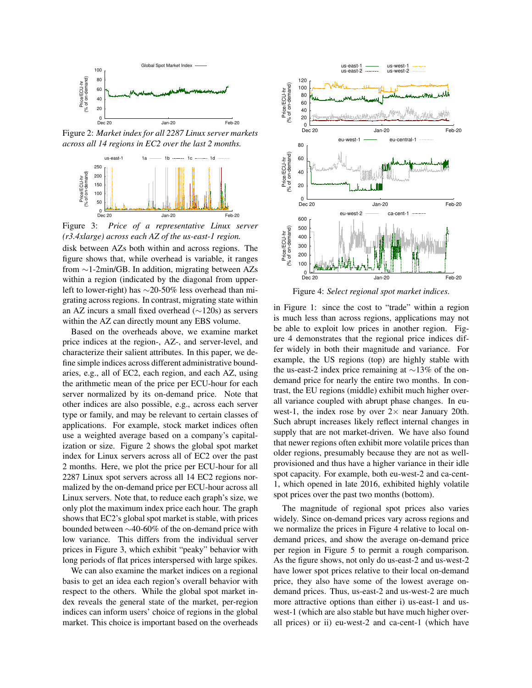

Figure 2: *Market index for all 2287 Linux server markets across all 14 regions in EC2 over the last 2 months.*



Figure 3: *Price of a representative Linux server (r3.4xlarge) across each AZ of the us-east-1 region.*

disk between AZs both within and across regions. The figure shows that, while overhead is variable, it ranges from  $\sim$ 1-2min/GB. In addition, migrating between AZs within a region (indicated by the diagonal from upperleft to lower-right) has  $\sim$ 20-50% less overhead than migrating across regions. In contrast, migrating state within an AZ incurs a small fixed overhead  $(\sim 120s)$  as servers within the AZ can directly mount any EBS volume.

Based on the overheads above, we examine market price indices at the region-, AZ-, and server-level, and characterize their salient attributes. In this paper, we define simple indices across different administrative boundaries, e.g., all of EC2, each region, and each AZ, using the arithmetic mean of the price per ECU-hour for each server normalized by its on-demand price. Note that other indices are also possible, e.g., across each server type or family, and may be relevant to certain classes of applications. For example, stock market indices often use a weighted average based on a company's capitalization or size. Figure 2 shows the global spot market index for Linux servers across all of EC2 over the past 2 months. Here, we plot the price per ECU-hour for all 2287 Linux spot servers across all 14 EC2 regions normalized by the on-demand price per ECU-hour across all Linux servers. Note that, to reduce each graph's size, we only plot the maximum index price each hour. The graph shows that EC2's global spot market is stable, with prices bounded between  $\sim$ 40-60% of the on-demand price with low variance. This differs from the individual server prices in Figure 3, which exhibit "peaky" behavior with long periods of flat prices interspersed with large spikes.

We can also examine the market indices on a regional basis to get an idea each region's overall behavior with respect to the others. While the global spot market index reveals the general state of the market, per-region indices can inform users' choice of regions in the global market. This choice is important based on the overheads



Figure 4: *Select regional spot market indices.*

in Figure 1: since the cost to "trade" within a region is much less than across regions, applications may not be able to exploit low prices in another region. Figure 4 demonstrates that the regional price indices differ widely in both their magnitude and variance. For example, the US regions (top) are highly stable with the us-east-2 index price remaining at  $\sim$ 13% of the ondemand price for nearly the entire two months. In contrast, the EU regions (middle) exhibit much higher overall variance coupled with abrupt phase changes. In euwest-1, the index rose by over  $2 \times$  near January 20th. Such abrupt increases likely reflect internal changes in supply that are not market-driven. We have also found that newer regions often exhibit more volatile prices than older regions, presumably because they are not as wellprovisioned and thus have a higher variance in their idle spot capacity. For example, both eu-west-2 and ca-cent-1, which opened in late 2016, exhibited highly volatile spot prices over the past two months (bottom).

The magnitude of regional spot prices also varies widely. Since on-demand prices vary across regions and we normalize the prices in Figure 4 relative to local ondemand prices, and show the average on-demand price per region in Figure 5 to permit a rough comparison. As the figure shows, not only do us-east-2 and us-west-2 have lower spot prices relative to their local on-demand price, they also have some of the lowest average ondemand prices. Thus, us-east-2 and us-west-2 are much more attractive options than either i) us-east-1 and uswest-1 (which are also stable but have much higher overall prices) or ii) eu-west-2 and ca-cent-1 (which have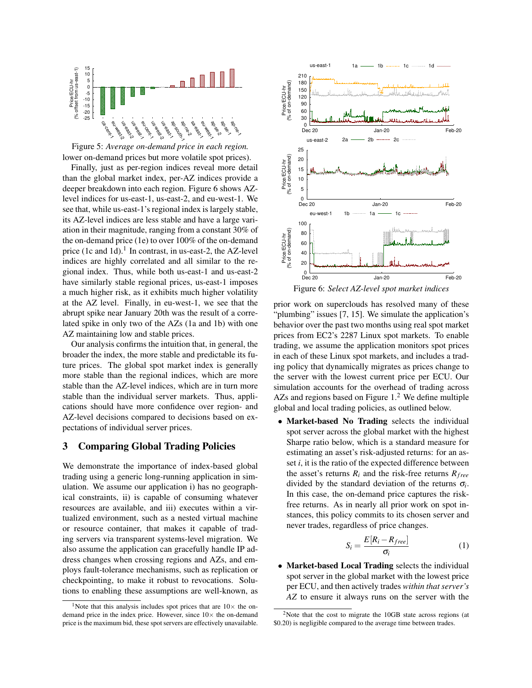

Figure 5: *Average on-demand price in each region.* lower on-demand prices but more volatile spot prices).

Finally, just as per-region indices reveal more detail than the global market index, per-AZ indices provide a deeper breakdown into each region. Figure 6 shows AZlevel indices for us-east-1, us-east-2, and eu-west-1. We see that, while us-east-1's regional index is largely stable, its AZ-level indices are less stable and have a large variation in their magnitude, ranging from a constant 30% of the on-demand price (1e) to over 100% of the on-demand price (1c and 1d).<sup>1</sup> In contrast, in us-east-2, the AZ-level indices are highly correlated and all similar to the regional index. Thus, while both us-east-1 and us-east-2 have similarly stable regional prices, us-east-1 imposes a much higher risk, as it exhibits much higher volatility at the AZ level. Finally, in eu-west-1, we see that the abrupt spike near January 20th was the result of a correlated spike in only two of the AZs (1a and 1b) with one AZ maintaining low and stable prices.

Our analysis confirms the intuition that, in general, the broader the index, the more stable and predictable its future prices. The global spot market index is generally more stable than the regional indices, which are more stable than the AZ-level indices, which are in turn more stable than the individual server markets. Thus, applications should have more confidence over region- and AZ-level decisions compared to decisions based on expectations of individual server prices.

# 3 Comparing Global Trading Policies

We demonstrate the importance of index-based global trading using a generic long-running application in simulation. We assume our application i) has no geographical constraints, ii) is capable of consuming whatever resources are available, and iii) executes within a virtualized environment, such as a nested virtual machine or resource container, that makes it capable of trading servers via transparent systems-level migration. We also assume the application can gracefully handle IP address changes when crossing regions and AZs, and employs fault-tolerance mechanisms, such as replication or checkpointing, to make it robust to revocations. Solutions to enabling these assumptions are well-known, as



prior work on superclouds has resolved many of these "plumbing" issues [7, 15]. We simulate the application's behavior over the past two months using real spot market prices from EC2's 2287 Linux spot markets. To enable trading, we assume the application monitors spot prices in each of these Linux spot markets, and includes a trading policy that dynamically migrates as prices change to the server with the lowest current price per ECU. Our simulation accounts for the overhead of trading across AZs and regions based on Figure  $1<sup>2</sup>$  We define multiple global and local trading policies, as outlined below.

• Market-based No Trading selects the individual spot server across the global market with the highest Sharpe ratio below, which is a standard measure for estimating an asset's risk-adjusted returns: for an asset *i*, it is the ratio of the expected difference between the asset's returns  $R_i$  and the risk-free returns  $R_{free}$ divided by the standard deviation of the returns  $\sigma_i$ . In this case, the on-demand price captures the riskfree returns. As in nearly all prior work on spot instances, this policy commits to its chosen server and never trades, regardless of price changes.

$$
S_i = \frac{E[R_i - R_{free}]}{\sigma_i} \tag{1}
$$

• Market-based Local Trading selects the individual spot server in the global market with the lowest price per ECU, and then actively trades *within that server's AZ* to ensure it always runs on the server with the

<sup>&</sup>lt;sup>1</sup>Note that this analysis includes spot prices that are  $10\times$  the ondemand price in the index price. However, since  $10 \times$  the on-demand price is the maximum bid, these spot servers are effectively unavailable.

 $2$ Note that the cost to migrate the 10GB state across regions (at \$0.20) is negligible compared to the average time between trades.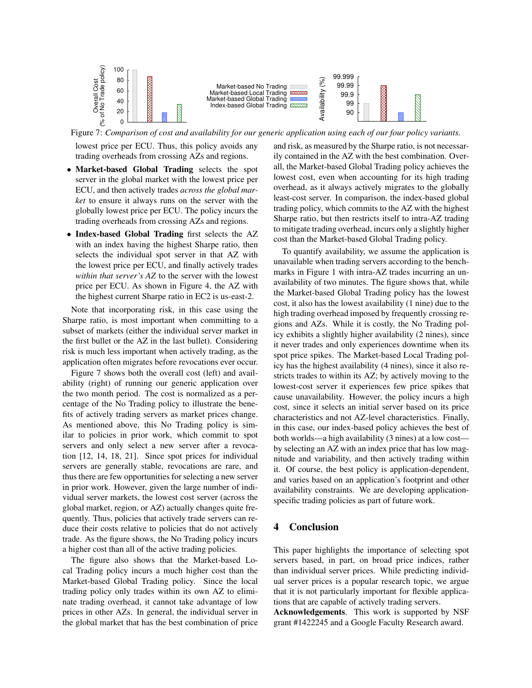

Figure 7: *Comparison of cost and availability for our generic application using each of our four policy variants.*

lowest price per ECU. Thus, this policy avoids any trading overheads from crossing AZs and regions.

- *•* Market-based Global Trading selects the spot server in the global market with the lowest price per ECU, and then actively trades *across the global market* to ensure it always runs on the server with the globally lowest price per ECU. The policy incurs the trading overheads from crossing AZs and regions.
- *•* Index-based Global Trading first selects the AZ with an index having the highest Sharpe ratio, then selects the individual spot server in that AZ with the lowest price per ECU, and finally actively trades *within that server's AZ* to the server with the lowest price per ECU. As shown in Figure 4, the AZ with the highest current Sharpe ratio in EC2 is us-east-2.

Note that incorporating risk, in this case using the Sharpe ratio, is most important when committing to a subset of markets (either the individual server market in the first bullet or the AZ in the last bullet). Considering risk is much less important when actively trading, as the application often migrates before revocations ever occur.

Figure 7 shows both the overall cost (left) and availability (right) of running our generic application over the two month period. The cost is normalized as a percentage of the No Trading policy to illustrate the benefits of actively trading servers as market prices change. As mentioned above, this No Trading policy is similar to policies in prior work, which commit to spot servers and only select a new server after a revocation [12, 14, 18, 21]. Since spot prices for individual servers are generally stable, revocations are rare, and thus there are few opportunities for selecting a new server in prior work. However, given the large number of individual server markets, the lowest cost server (across the global market, region, or AZ) actually changes quite frequently. Thus, policies that actively trade servers can reduce their costs relative to policies that do not actively trade. As the figure shows, the No Trading policy incurs a higher cost than all of the active trading policies.

The figure also shows that the Market-based Local Trading policy incurs a much higher cost than the Market-based Global Trading policy. Since the local trading policy only trades within its own AZ to eliminate trading overhead, it cannot take advantage of low prices in other AZs. In general, the individual server in the global market that has the best combination of price and risk, as measured by the Sharpe ratio, is not necessarily contained in the AZ with the best combination. Overall, the Market-based Global Trading policy achieves the lowest cost, even when accounting for its high trading overhead, as it always actively migrates to the globally least-cost server. In comparison, the index-based global trading policy, which commits to the AZ with the highest Sharpe ratio, but then restricts itself to intra-AZ trading to mitigate trading overhead, incurs only a slightly higher cost than the Market-based Global Trading policy.

To quantify availability, we assume the application is unavailable when trading servers according to the benchmarks in Figure 1 with intra-AZ trades incurring an unavailability of two minutes. The figure shows that, while the Market-based Global Trading policy has the lowest cost, it also has the lowest availability (1 nine) due to the high trading overhead imposed by frequently crossing regions and AZs. While it is costly, the No Trading policy exhibits a slightly higher availability (2 nines), since it never trades and only experiences downtime when its spot price spikes. The Market-based Local Trading policy has the highest availability (4 nines), since it also restricts trades to within its AZ; by actively moving to the lowest-cost server it experiences few price spikes that cause unavailability. However, the policy incurs a high cost, since it selects an initial server based on its price characteristics and not AZ-level characteristics. Finally, in this case, our index-based policy achieves the best of both worlds—a high availability (3 nines) at a low cost by selecting an AZ with an index price that has low magnitude and variability, and then actively trading within it. Of course, the best policy is application-dependent, and varies based on an application's footprint and other availability constraints. We are developing applicationspecific trading policies as part of future work.

### 4 Conclusion

This paper highlights the importance of selecting spot servers based, in part, on broad price indices, rather than individual server prices. While predicting individual server prices is a popular research topic, we argue that it is not particularly important for flexible applications that are capable of actively trading servers. Acknowledgements. This work is supported by NSF grant #1422245 and a Google Faculty Research award.